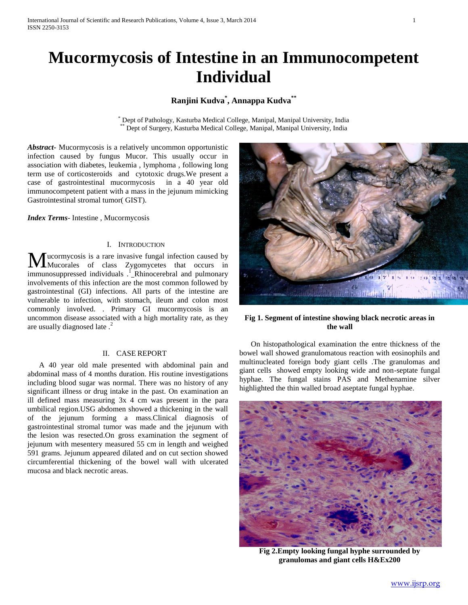# **Mucormycosis of Intestine in an Immunocompetent Individual**

## **Ranjini Kudva\* , Annappa Kudva\*\***

\* Dept of Pathology, Kasturba Medical College, Manipal, Manipal University, India Dept of Surgery, Kasturba Medical College, Manipal, Manipal University, India

*Abstract***-** Mucormycosis is a relatively uncommon opportunistic infection caused by fungus Mucor. This usually occur in association with diabetes, leukemia , lymphoma , following long term use of corticosteroids and cytotoxic drugs.We present a case of gastrointestinal mucormycosis in a 40 year old immunocompetent patient with a mass in the jejunum mimicking Gastrointestinal stromal tumor( GIST).

*Index Terms*- Intestine , Mucormycosis

## I. INTRODUCTION

ucormycosis is a rare invasive fungal infection caused by Mucorales of class Zygomycetes that occurs in **M**ucormycosis is a rare invasive fungal infection caused by Mucorales of class Zygomycetes that occurs in immunosuppressed individuals .<sup>1</sup>\_Rhinocerebral and pulmonary involvements of this infection are the most common followed by gastrointestinal (GI) infections. All parts of the intestine are vulnerable to infection, with stomach, ileum and colon most commonly involved. . Primary GI mucormycosis is an uncommon disease associated with a high mortality rate, as they are usually diagnosed late.<sup>2</sup>

### II. CASE REPORT

 A 40 year old male presented with abdominal pain and abdominal mass of 4 months duration. His routine investigations including blood sugar was normal. There was no history of any significant illness or drug intake in the past. On examination an ill defined mass measuring 3x 4 cm was present in the para umbilical region.USG abdomen showed a thickening in the wall of the jejunum forming a mass.Clinical diagnosis of gastrointestinal stromal tumor was made and the jejunum with the lesion was resected.On gross examination the segment of jejunum with mesentery measured 55 cm in length and weighed 591 grams. Jejunum appeared dilated and on cut section showed circumferential thickening of the bowel wall with ulcerated mucosa and black necrotic areas.



#### **Fig 1. Segment of intestine showing black necrotic areas in the wall**

 On histopathological examination the entre thickness of the bowel wall showed granulomatous reaction with eosinophils and multinucleated foreign body giant cells .The granulomas and giant cells showed empty looking wide and non-septate fungal hyphae. The fungal stains PAS and Methenamine silver highlighted the thin walled broad aseptate fungal hyphae.



**Fig 2.Empty looking fungal hyphe surrounded by granulomas and giant cells H&Ex200**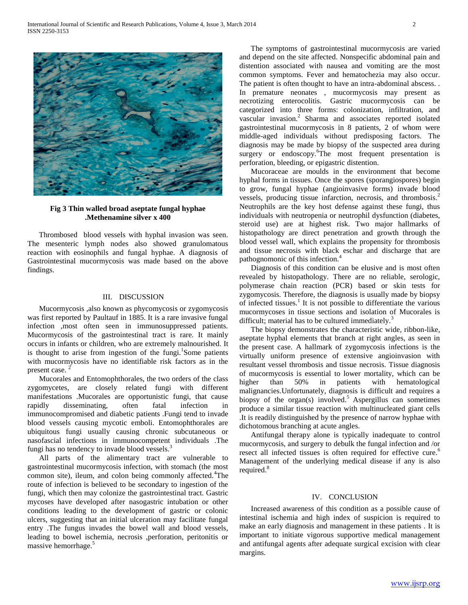

#### **Fig 3 Thin walled broad aseptate fungal hyphae .Methenamine silver x 400**

 Thrombosed blood vessels with hyphal invasion was seen. The mesenteric lymph nodes also showed granulomatous reaction with eosinophils and fungal hyphae. A diagnosis of Gastrointestinal mucormycosis was made based on the above findings.

#### III. DISCUSSION

 Mucormycosis ,also known as phycomycosis or zygomycosis was first reported by Paultauf in 1885. It is a rare invasive fungal infection ,most often seen in immunosuppressed patients. Mucormycosis of the gastrointestinal tract is rare. It mainly occurs in infants or children, who are extremely malnourished. It is thought to arise from ingestion of the fungi.<sup>1</sup>Some patients with mucormycosis have no identifiable risk factors as in the present case. <sup>2</sup>

 Mucorales and Entomophthorales, the two orders of the class zygomycetes, are closely related fungi with different manifestations .Mucorales are opportunistic fungi, that cause rapidly disseminating, often fatal infection in immunocompromised and diabetic patients .Fungi tend to invade blood vessels causing mycotic emboli. Entomophthorales are ubiquitous fungi usually causing chronic subcutaneous or nasofascial infections in immunocompetent individuals .The fungi has no tendency to invade blood vessels.<sup>3</sup>

 All parts of the alimentary tract are vulnerable to gastrointestinal mucormycosis infection, with stomach (the most common site), ileum, and colon being commonly affected.<sup>4</sup>The route of infection is believed to be secondary to ingestion of the fungi, which then may colonize the gastrointestinal tract. Gastric mycoses have developed after nasogastric intubation or other conditions leading to the development of gastric or colonic ulcers, suggesting that an initial ulceration may facilitate fungal entry .The fungus invades the bowel wall and blood vessels, leading to bowel ischemia, necrosis ,perforation, peritonitis or massive hemorrhage.<sup>5</sup>

 The symptoms of gastrointestinal mucormycosis are varied and depend on the site affected. Nonspecific abdominal pain and distention associated with nausea and vomiting are the most common symptoms. Fever and hematochezia may also occur. The patient is often thought to have an intra-abdominal abscess. . In premature neonates , mucormycosis may present as necrotizing enterocolitis. Gastric mucormycosis can be categorized into three forms: colonization, infiltration, and vascular invasion.<sup>2</sup> Sharma and associates reported isolated gastrointestinal mucormycosis in 8 patients, 2 of whom were middle-aged individuals without predisposing factors. The diagnosis may be made by biopsy of the suspected area during surgery or endoscopy.<sup>6</sup>The most frequent presentation is perforation, bleeding, or epigastric distention.

 Mucoraceae are moulds in the environment that become hyphal forms in tissues. Once the spores (sporangiospores) begin to grow, fungal hyphae (angioinvasive forms) invade blood vessels, producing tissue infarction, necrosis, and thrombosis.<sup>2</sup> Neutrophils are the key host defense against these fungi, thus individuals with neutropenia or neutrophil dysfunction (diabetes, steroid use) are at highest risk. Two major hallmarks of histopathology are direct penetration and growth through the blood vessel wall, which explains the propensity for thrombosis and tissue necrosis with black eschar and discharge that are pathognomonic of this infection.<sup>4</sup>

 Diagnosis of this condition can be elusive and is most often revealed by histopathology. There are no reliable, serologic, polymerase chain reaction (PCR) based or skin tests for zygomycosis. Therefore, the diagnosis is usually made by biopsy of infected tissues.<sup>1</sup> It is not possible to differentiate the various mucormycoses in tissue sections and isolation of Mucorales is difficult; material has to be cultured immediately.<sup>3</sup>

 The biopsy demonstrates the characteristic wide, ribbon-like, aseptate hyphal elements that branch at right angles, as seen in the present case. A hallmark of zygomycosis infections is the virtually uniform presence of extensive angioinvasion with resultant vessel thrombosis and tissue necrosis. Tissue diagnosis of mucormycosis is essential to lower mortality, which can be higher than 50% in patients with hematological malignancies.Unfortunately, diagnosis is difficult and requires a biopsy of the organ(s) involved.<sup>5</sup> Aspergillus can sometimes produce a similar tissue reaction with multinucleated giant cells .It is readily distinguished by the presence of narrow hyphae with dichotomous branching at acute angles.

 Antifungal therapy alone is typically inadequate to control mucormycosis, and surgery to debulk the fungal infection and /or resect all infected tissues is often required for effective cure.<sup>6</sup> Management of the underlying medical disease if any is also required.<sup>8</sup>

#### IV. CONCLUSION

 Increased awareness of this condition as a possible cause of intestinal ischemia and high index of suspicion is required to make an early diagnosis and management in these patients . It is important to initiate vigorous supportive medical management and antifungal agents after adequate surgical excision with clear margins.